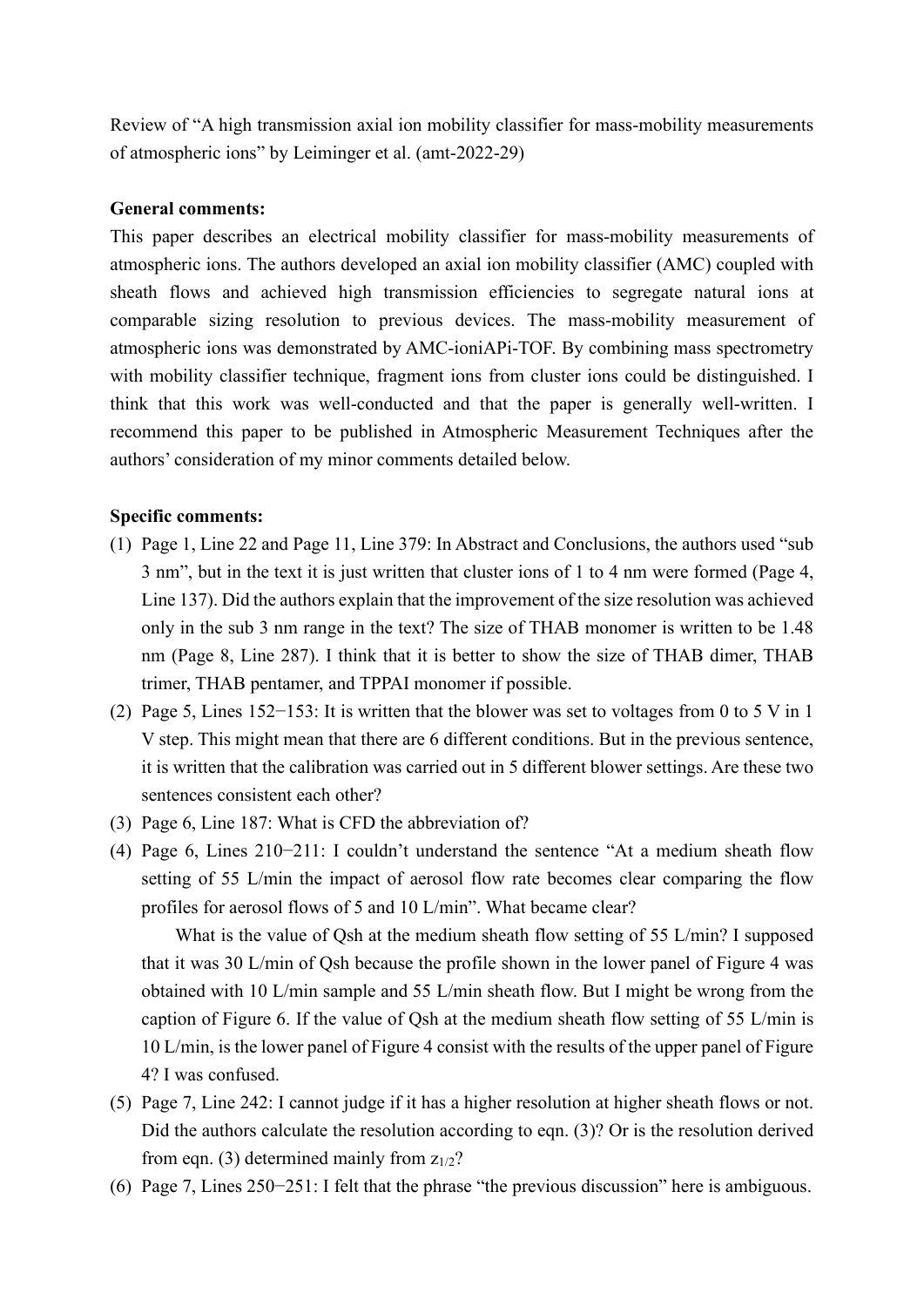Review of "A high transmission axial ion mobility classifier for mass-mobility measurements of atmospheric ions" by Leiminger et al. (amt-2022-29)

## **General comments:**

This paper describes an electrical mobility classifier for mass-mobility measurements of atmospheric ions. The authors developed an axial ion mobility classifier (AMC) coupled with sheath flows and achieved high transmission efficiencies to segregate natural ions at comparable sizing resolution to previous devices. The mass-mobility measurement of atmospheric ions was demonstrated by AMC-ioniAPi-TOF. By combining mass spectrometry with mobility classifier technique, fragment ions from cluster ions could be distinguished. I think that this work was well-conducted and that the paper is generally well-written. I recommend this paper to be published in Atmospheric Measurement Techniques after the authors' consideration of my minor comments detailed below.

## **Specific comments:**

- (1) Page 1, Line 22 and Page 11, Line 379: In Abstract and Conclusions, the authors used "sub 3 nm", but in the text it is just written that cluster ions of 1 to 4 nm were formed (Page 4, Line 137). Did the authors explain that the improvement of the size resolution was achieved only in the sub 3 nm range in the text? The size of THAB monomer is written to be 1.48 nm (Page 8, Line 287). I think that it is better to show the size of THAB dimer, THAB trimer, THAB pentamer, and TPPAI monomer if possible.
- (2) Page 5, Lines 152−153: It is written that the blower was set to voltages from 0 to 5 V in 1 V step. This might mean that there are 6 different conditions. But in the previous sentence, it is written that the calibration was carried out in 5 different blower settings. Are these two sentences consistent each other?
- (3) Page 6, Line 187: What is CFD the abbreviation of?
- (4) Page 6, Lines 210−211: I couldn't understand the sentence "At a medium sheath flow setting of 55 L/min the impact of aerosol flow rate becomes clear comparing the flow profiles for aerosol flows of 5 and 10 L/min". What became clear?

What is the value of Qsh at the medium sheath flow setting of 55 L/min? I supposed that it was 30 L/min of Qsh because the profile shown in the lower panel of Figure 4 was obtained with 10 L/min sample and 55 L/min sheath flow. But I might be wrong from the caption of Figure 6. If the value of Qsh at the medium sheath flow setting of 55 L/min is 10 L/min, is the lower panel of Figure 4 consist with the results of the upper panel of Figure 4? I was confused.

- (5) Page 7, Line 242: I cannot judge if it has a higher resolution at higher sheath flows or not. Did the authors calculate the resolution according to eqn. (3)? Or is the resolution derived from eqn. (3) determined mainly from  $z_{1/2}$ ?
- (6) Page 7, Lines 250−251: I felt that the phrase "the previous discussion" here is ambiguous.